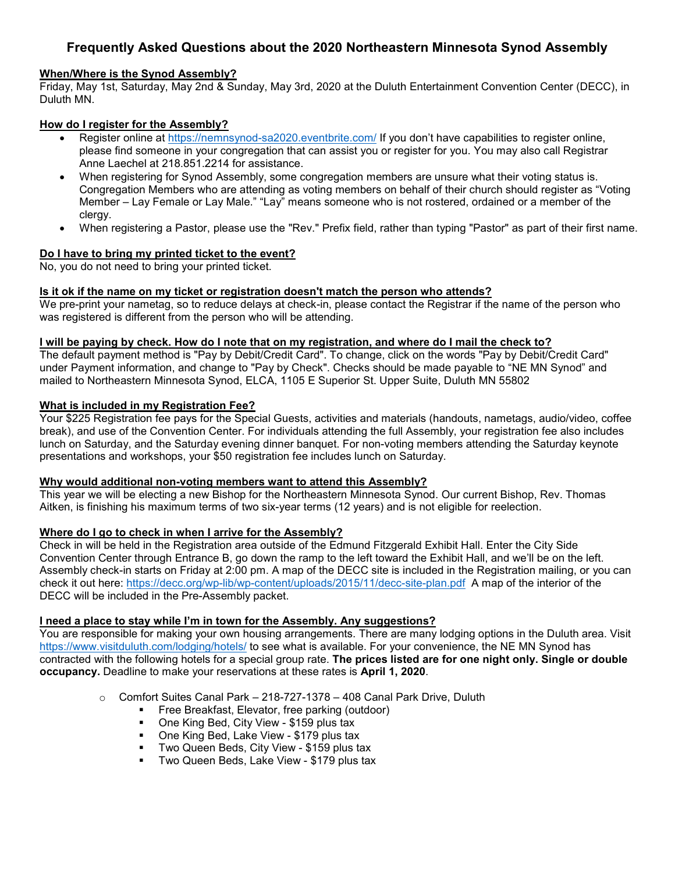# **Frequently Asked Questions about the 2020 Northeastern Minnesota Synod Assembly**

### **When/Where is the Synod Assembly?**

Friday, May 1st, Saturday, May 2nd & Sunday, May 3rd, 2020 at the Duluth Entertainment Convention Center (DECC), in Duluth MN.

# **How do I register for the Assembly?**

- Register online at<https://nemnsynod-sa2020.eventbrite.com/> If you don't have capabilities to register online, please find someone in your congregation that can assist you or register for you. You may also call Registrar Anne Laechel at 218.851.2214 for assistance.
- When registering for Synod Assembly, some congregation members are unsure what their voting status is. Congregation Members who are attending as voting members on behalf of their church should register as "Voting Member – Lay Female or Lay Male." "Lay" means someone who is not rostered, ordained or a member of the clergy.
- When registering a Pastor, please use the "Rev." Prefix field, rather than typing "Pastor" as part of their first name.

### **Do I have to bring my printed ticket to the event?**

No, you do not need to bring your printed ticket.

# **Is it ok if the name on my ticket or registration doesn't match the person who attends?**

We pre-print your nametag, so to reduce delays at check-in, please contact the Registrar if the name of the person who was registered is different from the person who will be attending.

#### **I will be paying by check. How do I note that on my registration, and where do I mail the check to?**

The default payment method is "Pay by Debit/Credit Card". To change, click on the words "Pay by Debit/Credit Card" under Payment information, and change to "Pay by Check". Checks should be made payable to "NE MN Synod" and mailed to Northeastern Minnesota Synod, ELCA, 1105 E Superior St. Upper Suite, Duluth MN 55802

### **What is included in my Registration Fee?**

Your \$225 Registration fee pays for the Special Guests, activities and materials (handouts, nametags, audio/video, coffee break), and use of the Convention Center. For individuals attending the full Assembly, your registration fee also includes lunch on Saturday, and the Saturday evening dinner banquet. For non-voting members attending the Saturday keynote presentations and workshops, your \$50 registration fee includes lunch on Saturday.

#### **Why would additional non-voting members want to attend this Assembly?**

This year we will be electing a new Bishop for the Northeastern Minnesota Synod. Our current Bishop, Rev. Thomas Aitken, is finishing his maximum terms of two six-year terms (12 years) and is not eligible for reelection.

# **Where do I go to check in when I arrive for the Assembly?**

Check in will be held in the Registration area outside of the Edmund Fitzgerald Exhibit Hall. Enter the City Side Convention Center through Entrance B, go down the ramp to the left toward the Exhibit Hall, and we'll be on the left. Assembly check-in starts on Friday at 2:00 pm. A map of the DECC site is included in the Registration mailing, or you can check it out here:<https://decc.org/wp-lib/wp-content/uploads/2015/11/decc-site-plan.pdf>A map of the interior of the DECC will be included in the Pre-Assembly packet.

# **I need a place to stay while I'm in town for the Assembly. Any suggestions?**

You are responsible for making your own housing arrangements. There are many lodging options in the Duluth area. Visit <https://www.visitduluth.com/lodging/hotels/> to see what is available. For your convenience, the NE MN Synod has contracted with the following hotels for a special group rate. **The prices listed are for one night only. Single or double occupancy.** Deadline to make your reservations at these rates is **April 1, 2020**.

- o Comfort Suites Canal Park 218-727-1378 408 Canal Park Drive, Duluth
	- **Free Breakfast, Elevator, free parking (outdoor)**
	- **One King Bed, City View \$159 plus tax**
	- One King Bed, Lake View \$179 plus tax
	- **Two Queen Beds, City View \$159 plus tax**
	- **Two Queen Beds, Lake View \$179 plus tax**